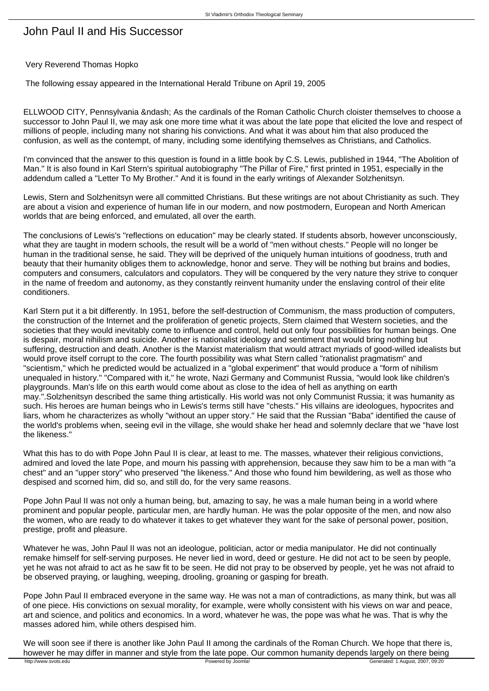## John Paul II and His Successor

## Very Reverend Thomas Hopko

The following essay appeared in the International Herald Tribune on April 19, 2005

ELLWOOD CITY, Pennsylvania – As the cardinals of the Roman Catholic Church cloister themselves to choose a successor to John Paul II, we may ask one more time what it was about the late pope that elicited the love and respect of millions of people, including many not sharing his convictions. And what it was about him that also produced the confusion, as well as the contempt, of many, including some identifying themselves as Christians, and Catholics.

I'm convinced that the answer to this question is found in a little book by C.S. Lewis, published in 1944, "The Abolition of Man." It is also found in Karl Stern's spiritual autobiography "The Pillar of Fire," first printed in 1951, especially in the addendum called a "Letter To My Brother." And it is found in the early writings of Alexander Solzhenitsyn.

Lewis, Stern and Solzhenitsyn were all committed Christians. But these writings are not about Christianity as such. They are about a vision and experience of human life in our modern, and now postmodern, European and North American worlds that are being enforced, and emulated, all over the earth.

The conclusions of Lewis's "reflections on education" may be clearly stated. If students absorb, however unconsciously, what they are taught in modern schools, the result will be a world of "men without chests." People will no longer be human in the traditional sense, he said. They will be deprived of the uniquely human intuitions of goodness, truth and beauty that their humanity obliges them to acknowledge, honor and serve. They will be nothing but brains and bodies, computers and consumers, calculators and copulators. They will be conquered by the very nature they strive to conquer in the name of freedom and autonomy, as they constantly reinvent humanity under the enslaving control of their elite conditioners.

Karl Stern put it a bit differently. In 1951, before the self-destruction of Communism, the mass production of computers, the construction of the Internet and the proliferation of genetic projects, Stern claimed that Western societies, and the societies that they would inevitably come to influence and control, held out only four possibilities for human beings. One is despair, moral nihilism and suicide. Another is nationalist ideology and sentiment that would bring nothing but suffering, destruction and death. Another is the Marxist materialism that would attract myriads of good-willed idealists but would prove itself corrupt to the core. The fourth possibility was what Stern called "rationalist pragmatism" and "scientism," which he predicted would be actualized in a "global experiment" that would produce a "form of nihilism unequaled in history." "Compared with it," he wrote, Nazi Germany and Communist Russia, "would look like children's playgrounds. Man's life on this earth would come about as close to the idea of hell as anything on earth may.".Solzhenitsyn described the same thing artistically. His world was not only Communist Russia; it was humanity as such. His heroes are human beings who in Lewis's terms still have "chests." His villains are ideologues, hypocrites and liars, whom he characterizes as wholly "without an upper story." He said that the Russian "Baba" identified the cause of the world's problems when, seeing evil in the village, she would shake her head and solemnly declare that we "have lost the likeness."

What this has to do with Pope John Paul II is clear, at least to me. The masses, whatever their religious convictions, admired and loved the late Pope, and mourn his passing with apprehension, because they saw him to be a man with "a chest" and an "upper story" who preserved "the likeness." And those who found him bewildering, as well as those who despised and scorned him, did so, and still do, for the very same reasons.

Pope John Paul II was not only a human being, but, amazing to say, he was a male human being in a world where prominent and popular people, particular men, are hardly human. He was the polar opposite of the men, and now also the women, who are ready to do whatever it takes to get whatever they want for the sake of personal power, position, prestige, profit and pleasure.

Whatever he was, John Paul II was not an ideologue, politician, actor or media manipulator. He did not continually remake himself for self-serving purposes. He never lied in word, deed or gesture. He did not act to be seen by people, yet he was not afraid to act as he saw fit to be seen. He did not pray to be observed by people, yet he was not afraid to be observed praying, or laughing, weeping, drooling, groaning or gasping for breath.

Pope John Paul II embraced everyone in the same way. He was not a man of contradictions, as many think, but was all of one piece. His convictions on sexual morality, for example, were wholly consistent with his views on war and peace, art and science, and politics and economics. In a word, whatever he was, the pope was what he was. That is why the masses adored him, while others despised him.

We will soon see if there is another like John Paul II among the cardinals of the Roman Church. We hope that there is, however he may differ in manner and style from the late pope. Our common humanity depends largely on there being<br>http://www.svois.edu Generated: 1 August, 2007, 09:20